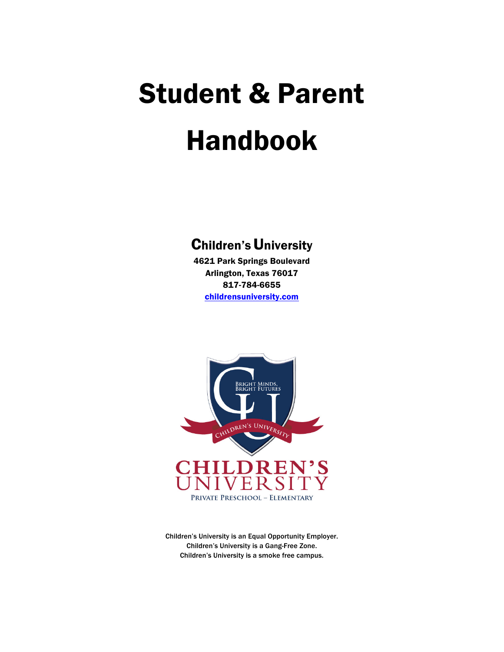# Student & Parent Handbook

# **Children's University**

4621 Park Springs Boulevard Arlington, Texas 76017 817-784-6655 childrensuniversity.com



Children's University is an Equal Opportunity Employer. Children's University is a Gang-Free Zone. Children's University is a smoke free campus.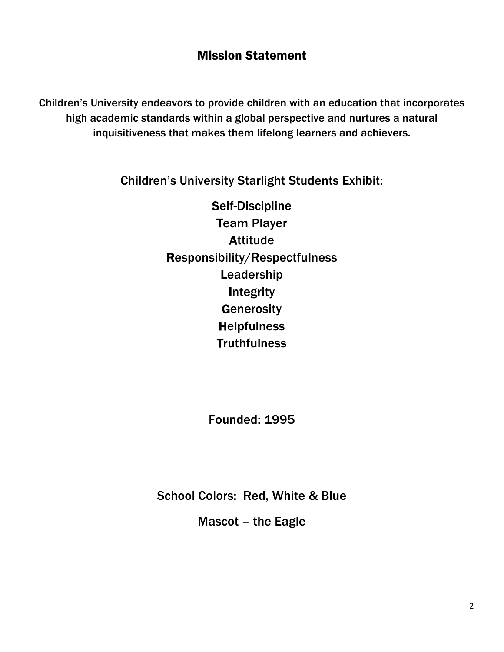# Mission Statement

Children's University endeavors to provide children with an education that incorporates high academic standards within a global perspective and nurtures a natural inquisitiveness that makes them lifelong learners and achievers.

Children's University Starlight Students Exhibit:

Self-Discipline Team Player **Attitude** Responsibility/Respectfulness Leadership **Integrity Generosity Helpfulness Truthfulness** 

Founded: 1995

School Colors: Red, White & Blue

Mascot – the Eagle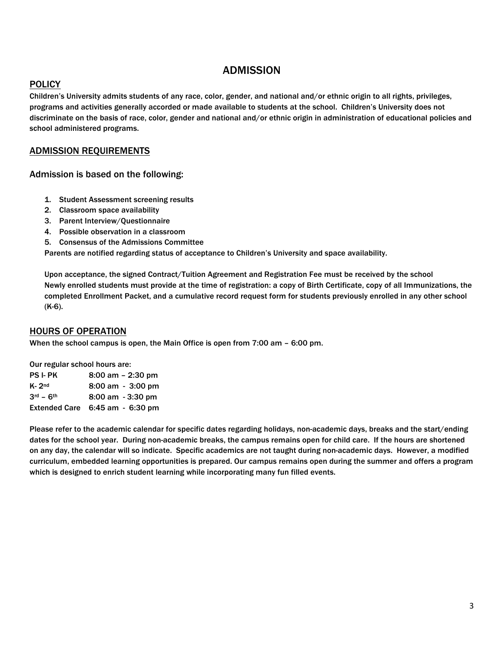# ADMISSION

# **POLICY**

Children's University admits students of any race, color, gender, and national and/or ethnic origin to all rights, privileges, programs and activities generally accorded or made available to students at the school. Children's University does not discriminate on the basis of race, color, gender and national and/or ethnic origin in administration of educational policies and school administered programs.

# ADMISSION REQUIREMENTS

Admission is based on the following:

- 1. Student Assessment screening results
- 2. Classroom space availability
- 3. Parent Interview/Questionnaire
- 4. Possible observation in a classroom
- 5. Consensus of the Admissions Committee

Parents are notified regarding status of acceptance to Children's University and space availability.

Upon acceptance, the signed Contract/Tuition Agreement and Registration Fee must be received by the school Newly enrolled students must provide at the time of registration: a copy of Birth Certificate, copy of all Immunizations, the completed Enrollment Packet, and a cumulative record request form for students previously enrolled in any other school (K-6).

# HOURS OF OPERATION

When the school campus is open, the Main Office is open from 7:00 am – 6:00 pm.

Our regular school hours are: PS I- PK 8:00 am – 2:30 pm K- 2<sup>nd</sup> 8:00 am - 3:00 pm 3rd – 6th 8:00 am - 3:30 pm Extended Care 6:45 am - 6:30 pm

Please refer to the academic calendar for specific dates regarding holidays, non-academic days, breaks and the start/ending dates for the school year. During non-academic breaks, the campus remains open for child care. If the hours are shortened on any day, the calendar will so indicate. Specific academics are not taught during non-academic days. However, a modified curriculum, embedded learning opportunities is prepared. Our campus remains open during the summer and offers a program which is designed to enrich student learning while incorporating many fun filled events.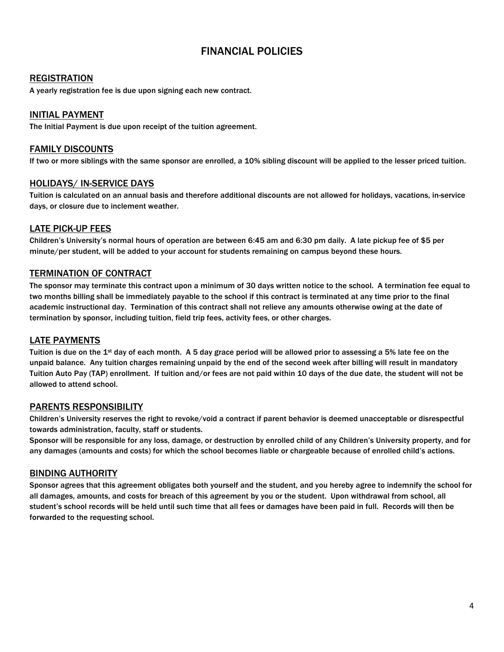# FINANCIAL POLICIES

### **REGISTRATION**

A yearly registration fee is due upon signing each new contract.

## INITIAL PAYMENT

The Initial Payment is due upon receipt of the tuition agreement.

#### FAMILY DISCOUNTS

If two or more siblings with the same sponsor are enrolled, a 10% sibling discount will be applied to the lesser priced tuition.

## HOLIDAYS/ IN-SERVICE DAYS

Tuition is calculated on an annual basis and therefore additional discounts are not allowed for holidays, vacations, in-service days, or closure due to inclement weather.

## LATE PICK-UP FEES

Children's University's normal hours of operation are between 6:45 am and 6:30 pm daily. A late pickup fee of \$5 per minute/per student, will be added to your account for students remaining on campus beyond these hours.

#### TERMINATION OF CONTRACT

The sponsor may terminate this contract upon a minimum of 30 days written notice to the school. A termination fee equal to two months billing shall be immediately payable to the school if this contract is terminated at any time prior to the final academic instructional day. Termination of this contract shall not relieve any amounts otherwise owing at the date of termination by sponsor, including tuition, field trip fees, activity fees, or other charges.

# LATE PAYMENTS

Tuition is due on the 1st day of each month. A 5 day grace period will be allowed prior to assessing a 5% late fee on the unpaid balance. Any tuition charges remaining unpaid by the end of the second week after billing will result in mandatory Tuition Auto Pay (TAP) enrollment. If tuition and/or fees are not paid within 10 days of the due date, the student will not be allowed to attend school.

#### PARENTS RESPONSIBILITY

Children's University reserves the right to revoke/void a contract if parent behavior is deemed unacceptable or disrespectful towards administration, faculty, staff or students.

Sponsor will be responsible for any loss, damage, or destruction by enrolled child of any Children's University property, and for any damages (amounts and costs) for which the school becomes liable or chargeable because of enrolled child's actions.

#### BINDING AUTHORITY

Sponsor agrees that this agreement obligates both yourself and the student, and you hereby agree to indemnify the school for all damages, amounts, and costs for breach of this agreement by you or the student. Upon withdrawal from school, all student's school records will be held until such time that all fees or damages have been paid in full. Records will then be forwarded to the requesting school.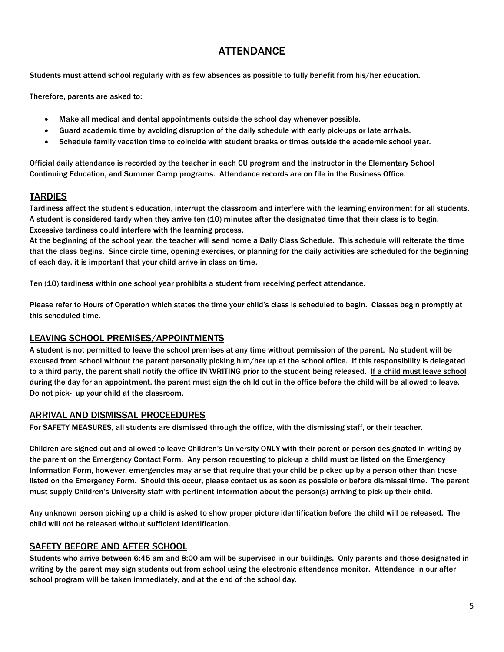# **ATTENDANCE**

Students must attend school regularly with as few absences as possible to fully benefit from his/her education.

Therefore, parents are asked to:

- Make all medical and dental appointments outside the school day whenever possible.
- Guard academic time by avoiding disruption of the daily schedule with early pick-ups or late arrivals.
- Schedule family vacation time to coincide with student breaks or times outside the academic school year.

Official daily attendance is recorded by the teacher in each CU program and the instructor in the Elementary School Continuing Education, and Summer Camp programs. Attendance records are on file in the Business Office.

# **TARDIES**

Tardiness affect the student's education, interrupt the classroom and interfere with the learning environment for all students. A student is considered tardy when they arrive ten (10) minutes after the designated time that their class is to begin. Excessive tardiness could interfere with the learning process.

At the beginning of the school year, the teacher will send home a Daily Class Schedule. This schedule will reiterate the time that the class begins. Since circle time, opening exercises, or planning for the daily activities are scheduled for the beginning of each day, it is important that your child arrive in class on time.

Ten (10) tardiness within one school year prohibits a student from receiving perfect attendance.

Please refer to Hours of Operation which states the time your child's class is scheduled to begin. Classes begin promptly at this scheduled time.

# LEAVING SCHOOL PREMISES/APPOINTMENTS

A student is not permitted to leave the school premises at any time without permission of the parent. No student will be excused from school without the parent personally picking him/her up at the school office. If this responsibility is delegated to a third party, the parent shall notify the office IN WRITING prior to the student being released. If a child must leave school during the day for an appointment, the parent must sign the child out in the office before the child will be allowed to leave. Do not pick- up your child at the classroom.

# ARRIVAL AND DISMISSAL PROCEEDURES

For SAFETY MEASURES, all students are dismissed through the office, with the dismissing staff, or their teacher.

Children are signed out and allowed to leave Children's University ONLY with their parent or person designated in writing by the parent on the Emergency Contact Form. Any person requesting to pick-up a child must be listed on the Emergency Information Form, however, emergencies may arise that require that your child be picked up by a person other than those listed on the Emergency Form. Should this occur, please contact us as soon as possible or before dismissal time. The parent must supply Children's University staff with pertinent information about the person(s) arriving to pick-up their child.

Any unknown person picking up a child is asked to show proper picture identification before the child will be released. The child will not be released without sufficient identification.

# SAFETY BEFORE AND AFTER SCHOOL

Students who arrive between 6:45 am and 8:00 am will be supervised in our buildings. Only parents and those designated in writing by the parent may sign students out from school using the electronic attendance monitor. Attendance in our after school program will be taken immediately, and at the end of the school day.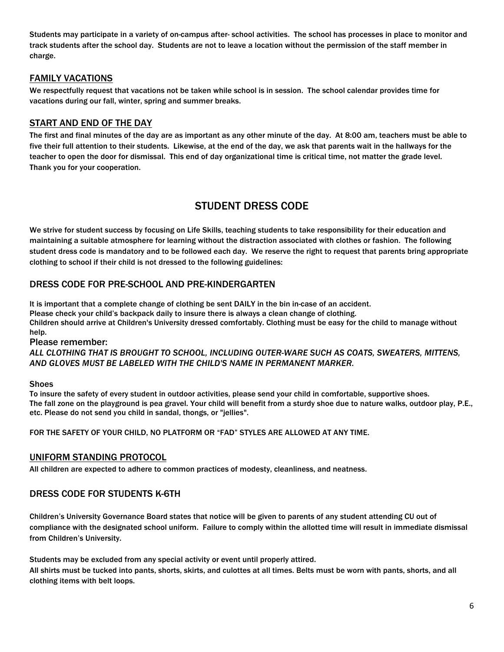Students may participate in a variety of on-campus after- school activities. The school has processes in place to monitor and track students after the school day. Students are not to leave a location without the permission of the staff member in charge.

# FAMILY VACATIONS

We respectfully request that vacations not be taken while school is in session. The school calendar provides time for vacations during our fall, winter, spring and summer breaks.

# START AND END OF THE DAY

The first and final minutes of the day are as important as any other minute of the day. At 8:00 am, teachers must be able to five their full attention to their students. Likewise, at the end of the day, we ask that parents wait in the hallways for the teacher to open the door for dismissal. This end of day organizational time is critical time, not matter the grade level. Thank you for your cooperation.

# STUDENT DRESS CODE

We strive for student success by focusing on Life Skills, teaching students to take responsibility for their education and maintaining a suitable atmosphere for learning without the distraction associated with clothes or fashion. The following student dress code is mandatory and to be followed each day. We reserve the right to request that parents bring appropriate clothing to school if their child is not dressed to the following guidelines:

# DRESS CODE FOR PRE-SCHOOL AND PRE-KINDERGARTEN

It is important that a complete change of clothing be sent DAILY in the bin in-case of an accident. Please check your child's backpack daily to insure there is always a clean change of clothing. Children should arrive at Children's University dressed comfortably. Clothing must be easy for the child to manage without help.

Please remember:

*ALL CLOTHING THAT IS BROUGHT TO SCHOOL, INCLUDING OUTER-WARE SUCH AS COATS, SWEATERS, MITTENS, AND GLOVES MUST BE LABELED WITH THE CHILD'S NAME IN PERMANENT MARKER.*

#### Shoes

To insure the safety of every student in outdoor activities, please send your child in comfortable, supportive shoes. The fall zone on the playground is pea gravel. Your child will benefit from a sturdy shoe due to nature walks, outdoor play, P.E., etc. Please do not send you child in sandal, thongs, or "jellies".

FOR THE SAFETY OF YOUR CHILD, NO PLATFORM OR "FAD" STYLES ARE ALLOWED AT ANY TIME.

# UNIFORM STANDING PROTOCOL

All children are expected to adhere to common practices of modesty, cleanliness, and neatness.

# DRESS CODE FOR STUDENTS K-6TH

Children's University Governance Board states that notice will be given to parents of any student attending CU out of compliance with the designated school uniform. Failure to comply within the allotted time will result in immediate dismissal from Children's University.

Students may be excluded from any special activity or event until properly attired.

All shirts must be tucked into pants, shorts, skirts, and culottes at all times. Belts must be worn with pants, shorts, and all clothing items with belt loops.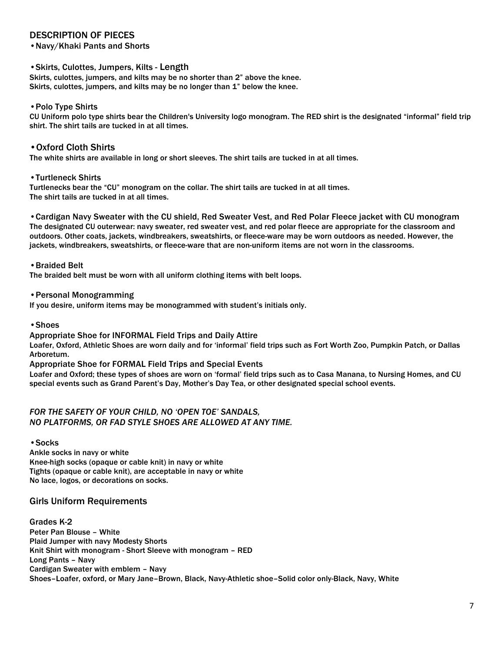# DESCRIPTION OF PIECES

•Navy/Khaki Pants and Shorts

#### •Skirts, Culottes, Jumpers, Kilts - Length

Skirts, culottes, jumpers, and kilts may be no shorter than 2" above the knee. Skirts, culottes, jumpers, and kilts may be no longer than 1" below the knee.

#### •Polo Type Shirts

CU Uniform polo type shirts bear the Children's University logo monogram. The RED shirt is the designated "informal" field trip shirt. The shirt tails are tucked in at all times.

#### •Oxford Cloth Shirts

The white shirts are available in long or short sleeves. The shirt tails are tucked in at all times.

#### •Turtleneck Shirts

Turtlenecks bear the "CU" monogram on the collar. The shirt tails are tucked in at all times. The shirt tails are tucked in at all times.

•Cardigan Navy Sweater with the CU shield, Red Sweater Vest, and Red Polar Fleece jacket with CU monogram The designated CU outerwear: navy sweater, red sweater vest, and red polar fleece are appropriate for the classroom and outdoors. Other coats, jackets, windbreakers, sweatshirts, or fleece-ware may be worn outdoors as needed. However, the jackets, windbreakers, sweatshirts, or fleece-ware that are non-uniform items are not worn in the classrooms.

#### •Braided Belt

The braided belt must be worn with all uniform clothing items with belt loops.

#### •Personal Monogramming

If you desire, uniform items may be monogrammed with student's initials only.

#### •Shoes

#### Appropriate Shoe for INFORMAL Field Trips and Daily Attire

Loafer, Oxford, Athletic Shoes are worn daily and for 'informal' field trips such as Fort Worth Zoo, Pumpkin Patch, or Dallas Arboretum.

Appropriate Shoe for FORMAL Field Trips and Special Events

Loafer and Oxford; these types of shoes are worn on 'formal' field trips such as to Casa Manana, to Nursing Homes, and CU special events such as Grand Parent's Day, Mother's Day Tea, or other designated special school events.

#### *FOR THE SAFETY OF YOUR CHILD, NO 'OPEN TOE' SANDALS, NO PLATFORMS, OR FAD STYLE SHOES ARE ALLOWED AT ANY TIME.*

•Socks

Ankle socks in navy or white Knee-high socks (opaque or cable knit) in navy or white Tights (opaque or cable knit), are acceptable in navy or white No lace, logos, or decorations on socks.

# Girls Uniform Requirements

Grades K-2 Peter Pan Blouse – White Plaid Jumper with navy Modesty Shorts Knit Shirt with monogram - Short Sleeve with monogram – RED Long Pants – Navy Cardigan Sweater with emblem – Navy Shoes–Loafer, oxford, or Mary Jane–Brown, Black, Navy-Athletic shoe–Solid color only-Black, Navy, White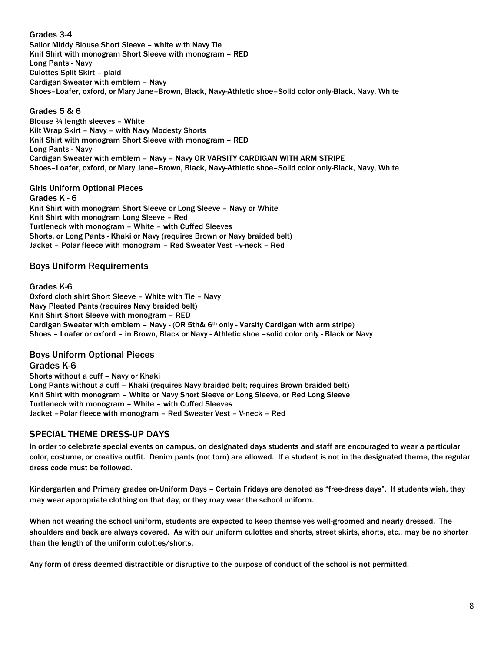Grades 3-4 Sailor Middy Blouse Short Sleeve – white with Navy Tie Knit Shirt with monogram Short Sleeve with monogram – RED Long Pants - Navy Culottes Split Skirt – plaid Cardigan Sweater with emblem – Navy Shoes–Loafer, oxford, or Mary Jane–Brown, Black, Navy-Athletic shoe–Solid color only-Black, Navy, White

Grades 5 & 6 Blouse ¾ length sleeves – White Kilt Wrap Skirt – Navy – with Navy Modesty Shorts Knit Shirt with monogram Short Sleeve with monogram – RED Long Pants - Navy Cardigan Sweater with emblem – Navy – Navy OR VARSITY CARDIGAN WITH ARM STRIPE Shoes–Loafer, oxford, or Mary Jane–Brown, Black, Navy-Athletic shoe–Solid color only-Black, Navy, White

Girls Uniform Optional Pieces Grades K - 6 Knit Shirt with monogram Short Sleeve or Long Sleeve – Navy or White Knit Shirt with monogram Long Sleeve – Red Turtleneck with monogram – White – with Cuffed Sleeves Shorts, or Long Pants - Khaki or Navy (requires Brown or Navy braided belt) Jacket – Polar fleece with monogram – Red Sweater Vest –v-neck – Red

#### Boys Uniform Requirements

#### Grades K-6

Oxford cloth shirt Short Sleeve – White with Tie – Navy Navy Pleated Pants (requires Navy braided belt) Knit Shirt Short Sleeve with monogram – RED Cardigan Sweater with emblem – Navy - (OR 5th& 6th only - Varsity Cardigan with arm stripe) Shoes – Loafer or oxford – in Brown, Black or Navy - Athletic shoe –solid color only - Black or Navy

# Boys Uniform Optional Pieces

Grades K-6 Shorts without a cuff – Navy or Khaki Long Pants without a cuff – Khaki (requires Navy braided belt; requires Brown braided belt) Knit Shirt with monogram – White or Navy Short Sleeve or Long Sleeve, or Red Long Sleeve Turtleneck with monogram – White – with Cuffed Sleeves Jacket –Polar fleece with monogram – Red Sweater Vest – V-neck – Red

#### SPECIAL THEME DRESS-UP DAYS

In order to celebrate special events on campus, on designated days students and staff are encouraged to wear a particular color, costume, or creative outfit. Denim pants (not torn) are allowed. If a student is not in the designated theme, the regular dress code must be followed.

Kindergarten and Primary grades on-Uniform Days – Certain Fridays are denoted as "free-dress days". If students wish, they may wear appropriate clothing on that day, or they may wear the school uniform.

When not wearing the school uniform, students are expected to keep themselves well-groomed and nearly dressed. The shoulders and back are always covered. As with our uniform culottes and shorts, street skirts, shorts, etc., may be no shorter than the length of the uniform culottes/shorts.

Any form of dress deemed distractible or disruptive to the purpose of conduct of the school is not permitted.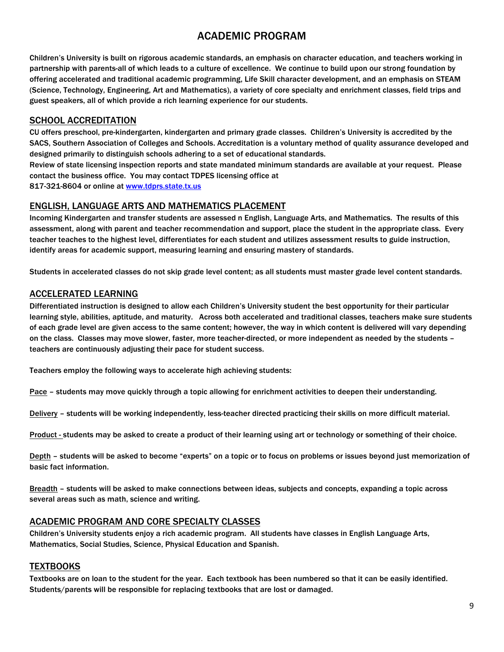# ACADEMIC PROGRAM

Children's University is built on rigorous academic standards, an emphasis on character education, and teachers working in partnership with parents-all of which leads to a culture of excellence. We continue to build upon our strong foundation by offering accelerated and traditional academic programming, Life Skill character development, and an emphasis on STEAM (Science, Technology, Engineering, Art and Mathematics), a variety of core specialty and enrichment classes, field trips and guest speakers, all of which provide a rich learning experience for our students.

# SCHOOL ACCREDITATION

CU offers preschool, pre-kindergarten, kindergarten and primary grade classes. Children's University is accredited by the SACS, Southern Association of Colleges and Schools. Accreditation is a voluntary method of quality assurance developed and designed primarily to distinguish schools adhering to a set of educational standards.

Review of state licensing inspection reports and state mandated minimum standards are available at your request. Please contact the business office. You may contact TDPES licensing office at

817-321-8604 or online at www.tdprs.state.tx.us

# ENGLISH, LANGUAGE ARTS AND MATHEMATICS PLACEMENT

Incoming Kindergarten and transfer students are assessed n English, Language Arts, and Mathematics. The results of this assessment, along with parent and teacher recommendation and support, place the student in the appropriate class. Every teacher teaches to the highest level, differentiates for each student and utilizes assessment results to guide instruction, identify areas for academic support, measuring learning and ensuring mastery of standards.

Students in accelerated classes do not skip grade level content; as all students must master grade level content standards.

# ACCELERATED LEARNING

Differentiated instruction is designed to allow each Children's University student the best opportunity for their particular learning style, abilities, aptitude, and maturity. Across both accelerated and traditional classes, teachers make sure students of each grade level are given access to the same content; however, the way in which content is delivered will vary depending on the class. Classes may move slower, faster, more teacher-directed, or more independent as needed by the students – teachers are continuously adjusting their pace for student success.

Teachers employ the following ways to accelerate high achieving students:

Pace – students may move quickly through a topic allowing for enrichment activities to deepen their understanding.

Delivery – students will be working independently, less-teacher directed practicing their skills on more difficult material.

Product - students may be asked to create a product of their learning using art or technology or something of their choice.

Depth – students will be asked to become "experts" on a topic or to focus on problems or issues beyond just memorization of basic fact information.

Breadth – students will be asked to make connections between ideas, subjects and concepts, expanding a topic across several areas such as math, science and writing.

# ACADEMIC PROGRAM AND CORE SPECIALTY CLASSES

Children's University students enjoy a rich academic program. All students have classes in English Language Arts, Mathematics, Social Studies, Science, Physical Education and Spanish.

# **TEXTBOOKS**

Textbooks are on loan to the student for the year. Each textbook has been numbered so that it can be easily identified. Students/parents will be responsible for replacing textbooks that are lost or damaged.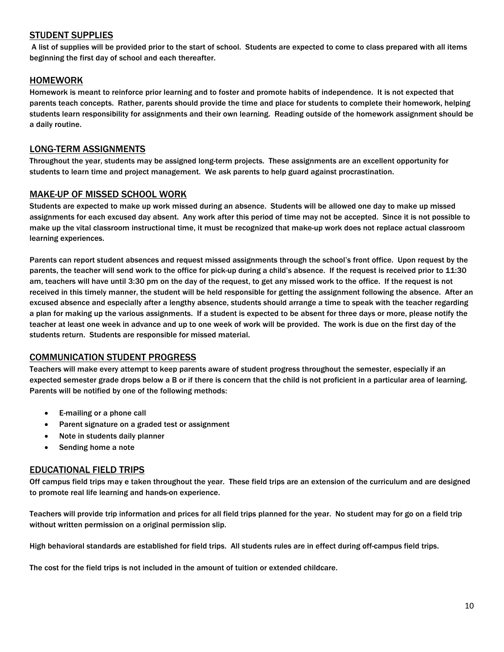# STUDENT SUPPLIES

A list of supplies will be provided prior to the start of school. Students are expected to come to class prepared with all items beginning the first day of school and each thereafter.

## HOMEWORK

Homework is meant to reinforce prior learning and to foster and promote habits of independence. It is not expected that parents teach concepts. Rather, parents should provide the time and place for students to complete their homework, helping students learn responsibility for assignments and their own learning. Reading outside of the homework assignment should be a daily routine.

## LONG-TERM ASSIGNMENTS

Throughout the year, students may be assigned long-term projects. These assignments are an excellent opportunity for students to learn time and project management. We ask parents to help guard against procrastination.

#### MAKE-UP OF MISSED SCHOOL WORK

Students are expected to make up work missed during an absence. Students will be allowed one day to make up missed assignments for each excused day absent. Any work after this period of time may not be accepted. Since it is not possible to make up the vital classroom instructional time, it must be recognized that make-up work does not replace actual classroom learning experiences.

Parents can report student absences and request missed assignments through the school's front office. Upon request by the parents, the teacher will send work to the office for pick-up during a child's absence. If the request is received prior to 11:30 am, teachers will have until 3:30 pm on the day of the request, to get any missed work to the office. If the request is not received in this timely manner, the student will be held responsible for getting the assignment following the absence. After an excused absence and especially after a lengthy absence, students should arrange a time to speak with the teacher regarding a plan for making up the various assignments. If a student is expected to be absent for three days or more, please notify the teacher at least one week in advance and up to one week of work will be provided. The work is due on the first day of the students return. Students are responsible for missed material.

# COMMUNICATION STUDENT PROGRESS

Teachers will make every attempt to keep parents aware of student progress throughout the semester, especially if an expected semester grade drops below a B or if there is concern that the child is not proficient in a particular area of learning. Parents will be notified by one of the following methods:

- E-mailing or a phone call
- Parent signature on a graded test or assignment
- Note in students daily planner
- Sending home a note

#### EDUCATIONAL FIELD TRIPS

Off campus field trips may e taken throughout the year. These field trips are an extension of the curriculum and are designed to promote real life learning and hands-on experience.

Teachers will provide trip information and prices for all field trips planned for the year. No student may for go on a field trip without written permission on a original permission slip.

High behavioral standards are established for field trips. All students rules are in effect during off-campus field trips.

The cost for the field trips is not included in the amount of tuition or extended childcare.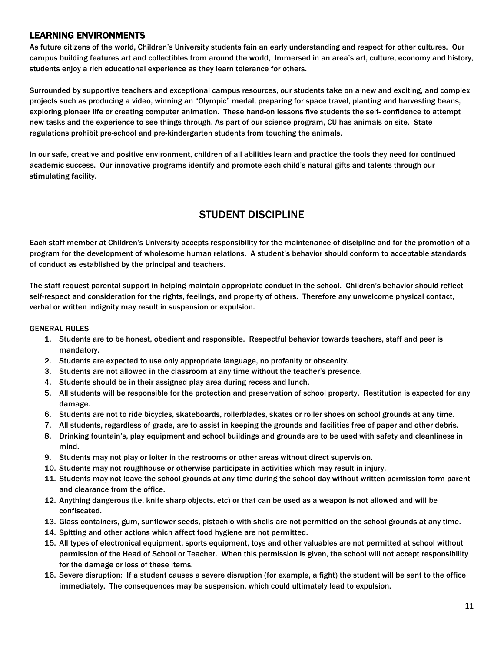# LEARNING ENVIRONMENTS

As future citizens of the world, Children's University students fain an early understanding and respect for other cultures. Our campus building features art and collectibles from around the world, Immersed in an area's art, culture, economy and history, students enjoy a rich educational experience as they learn tolerance for others.

Surrounded by supportive teachers and exceptional campus resources, our students take on a new and exciting, and complex projects such as producing a video, winning an "Olympic" medal, preparing for space travel, planting and harvesting beans, exploring pioneer life or creating computer animation. These hand-on lessons five students the self- confidence to attempt new tasks and the experience to see things through. As part of our science program, CU has animals on site. State regulations prohibit pre-school and pre-kindergarten students from touching the animals.

In our safe, creative and positive environment, children of all abilities learn and practice the tools they need for continued academic success. Our innovative programs identify and promote each child's natural gifts and talents through our stimulating facility.

# STUDENT DISCIPLINE

Each staff member at Children's University accepts responsibility for the maintenance of discipline and for the promotion of a program for the development of wholesome human relations. A student's behavior should conform to acceptable standards of conduct as established by the principal and teachers.

The staff request parental support in helping maintain appropriate conduct in the school. Children's behavior should reflect self-respect and consideration for the rights, feelings, and property of others. Therefore any unwelcome physical contact, verbal or written indignity may result in suspension or expulsion.

#### GENERAL RULES

- 1. Students are to be honest, obedient and responsible. Respectful behavior towards teachers, staff and peer is mandatory.
- 2. Students are expected to use only appropriate language, no profanity or obscenity.
- 3. Students are not allowed in the classroom at any time without the teacher's presence.
- 4. Students should be in their assigned play area during recess and lunch.
- 5. All students will be responsible for the protection and preservation of school property. Restitution is expected for any damage.
- 6. Students are not to ride bicycles, skateboards, rollerblades, skates or roller shoes on school grounds at any time.
- 7. All students, regardless of grade, are to assist in keeping the grounds and facilities free of paper and other debris.
- 8. Drinking fountain's, play equipment and school buildings and grounds are to be used with safety and cleanliness in mind.
- 9. Students may not play or loiter in the restrooms or other areas without direct supervision.
- 10. Students may not roughhouse or otherwise participate in activities which may result in injury.
- 11. Students may not leave the school grounds at any time during the school day without written permission form parent and clearance from the office.
- 12. Anything dangerous (i.e. knife sharp objects, etc) or that can be used as a weapon is not allowed and will be confiscated.
- 13. Glass containers, gum, sunflower seeds, pistachio with shells are not permitted on the school grounds at any time.
- 14. Spitting and other actions which affect food hygiene are not permitted.
- 15. All types of electronical equipment, sports equipment, toys and other valuables are not permitted at school without permission of the Head of School or Teacher. When this permission is given, the school will not accept responsibility for the damage or loss of these items.
- 16. Severe disruption: If a student causes a severe disruption (for example, a fight) the student will be sent to the office immediately. The consequences may be suspension, which could ultimately lead to expulsion.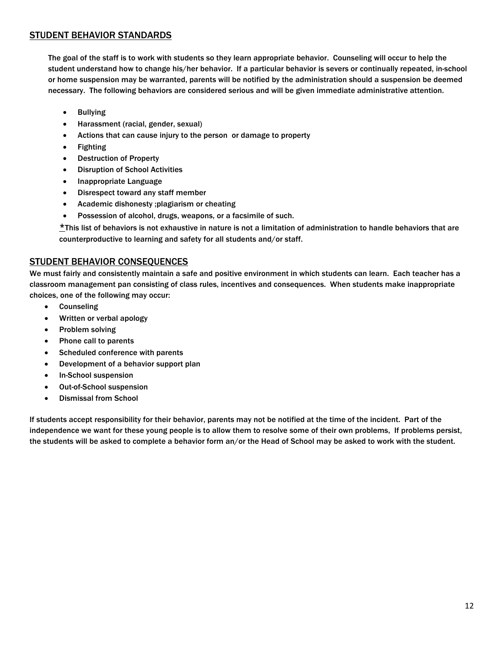# STUDENT BEHAVIOR STANDARDS

The goal of the staff is to work with students so they learn appropriate behavior. Counseling will occur to help the student understand how to change his/her behavior. If a particular behavior is severs or continually repeated, in-school or home suspension may be warranted, parents will be notified by the administration should a suspension be deemed necessary. The following behaviors are considered serious and will be given immediate administrative attention.

- Bullying
- Harassment (racial, gender, sexual)
- Actions that can cause injury to the person or damage to property
- Fighting
- Destruction of Property
- Disruption of School Activities
- Inappropriate Language
- Disrespect toward any staff member
- Academic dishonesty ;plagiarism or cheating
- Possession of alcohol, drugs, weapons, or a facsimile of such.

\*This list of behaviors is not exhaustive in nature is not a limitation of administration to handle behaviors that are counterproductive to learning and safety for all students and/or staff.

## STUDENT BEHAVIOR CONSEQUENCES

We must fairly and consistently maintain a safe and positive environment in which students can learn. Each teacher has a classroom management pan consisting of class rules, incentives and consequences. When students make inappropriate choices, one of the following may occur:

- **Counseling**
- Written or verbal apology
- Problem solving
- Phone call to parents
- Scheduled conference with parents
- Development of a behavior support plan
- In-School suspension
- Out-of-School suspension
- Dismissal from School

If students accept responsibility for their behavior, parents may not be notified at the time of the incident. Part of the independence we want for these young people is to allow them to resolve some of their own problems, If problems persist, the students will be asked to complete a behavior form an/or the Head of School may be asked to work with the student.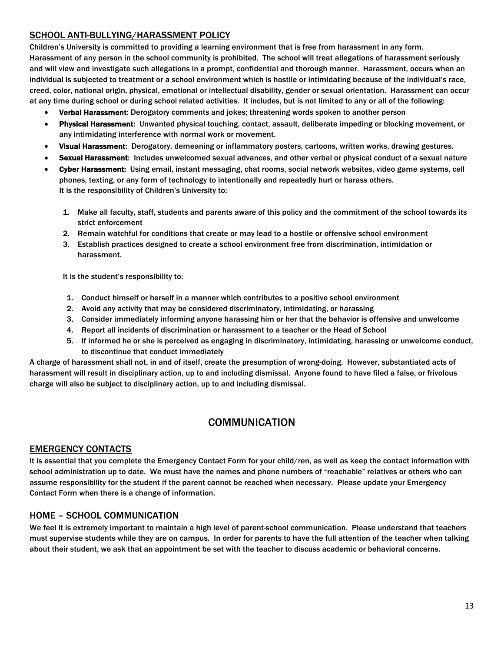# SCHOOL ANTI-BULLYING/HARASSMENT POLICY

Children's University is committed to providing a learning environment that is free from harassment in any form. Harassment of any person in the school community is prohibited. The school will treat allegations of harassment seriously and will view and investigate such allegations in a prompt, confidential and thorough manner. Harassment, occurs when an individual is subjected to treatment or a school environment which is hostile or intimidating because of the individual's race, creed, color, national origin, physical, emotional or intellectual disability, gender or sexual orientation. Harassment can occur at any time during school or during school related activities. It includes, but is not limited to any or all of the following:

- Verbal Harassment: Derogatory comments and jokes; threatening words spoken to another person
- Physical Harassment: Unwanted physical touching, contact, assault, deliberate impeding or blocking movement, or any intimidating interference with normal work or movement.
- Visual Harassment: Derogatory, demeaning or inflammatory posters, cartoons, written works, drawing gestures.
- Sexual Harassment: Includes unwelcomed sexual advances, and other verbal or physical conduct of a sexual nature
- Cyber Harassment: Using email, instant messaging, chat rooms, social network websites, video game systems, cell phones, texting, or any form of technology to intentionally and repeatedly hurt or harass others. It is the responsibility of Children's University to:
	- 1. Make all faculty, staff, students and parents aware of this policy and the commitment of the school towards its strict enforcement
	- 2. Remain watchful for conditions that create or may lead to a hostile or offensive school environment
	- 3. Establish practices designed to create a school environment free from discrimination, intimidation or harassment.

It is the student's responsibility to:

- 1. Conduct himself or herself in a manner which contributes to a positive school environment
- 2. Avoid any activity that may be considered discriminatory, intimidating, or harassing
- 3. Consider immediately informing anyone harassing him or her that the behavior is offensive and unwelcome
- 4. Report all incidents of discrimination or harassment to a teacher or the Head of School
- 5. If informed he or she is perceived as engaging in discriminatory, intimidating, harassing or unwelcome conduct, to discontinue that conduct immediately

A charge of harassment shall not, in and of itself, create the presumption of wrong-doing. However, substantiated acts of harassment will result in disciplinary action, up to and including dismissal. Anyone found to have filed a false, or frivolous charge will also be subject to disciplinary action, up to and including dismissal.

# **COMMUNICATION**

#### EMERGENCY CONTACTS

It is essential that you complete the Emergency Contact Form for your child/ren, as well as keep the contact information with school administration up to date. We must have the names and phone numbers of "reachable" relatives or others who can assume responsibility for the student if the parent cannot be reached when necessary. Please update your Emergency Contact Form when there is a change of information.

# HOME – SCHOOL COMMUNICATION

We feel it is extremely important to maintain a high level of parent-school communication. Please understand that teachers must supervise students while they are on campus. In order for parents to have the full attention of the teacher when talking about their student, we ask that an appointment be set with the teacher to discuss academic or behavioral concerns.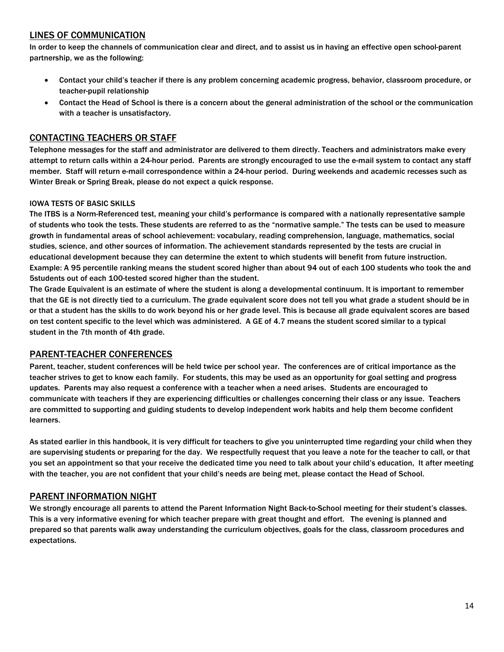# LINES OF COMMUNICATION

In order to keep the channels of communication clear and direct, and to assist us in having an effective open school-parent partnership, we as the following:

- Contact your child's teacher if there is any problem concerning academic progress, behavior, classroom procedure, or teacher-pupil relationship
- Contact the Head of School is there is a concern about the general administration of the school or the communication with a teacher is unsatisfactory.

## CONTACTING TEACHERS OR STAFF

Telephone messages for the staff and administrator are delivered to them directly. Teachers and administrators make every attempt to return calls within a 24-hour period. Parents are strongly encouraged to use the e-mail system to contact any staff member. Staff will return e-mail correspondence within a 24-hour period. During weekends and academic recesses such as Winter Break or Spring Break, please do not expect a quick response.

#### IOWA TESTS OF BASIC SKILLS

The ITBS is a Norm-Referenced test, meaning your child's performance is compared with a nationally representative sample of students who took the tests. These students are referred to as the "normative sample." The tests can be used to measure growth in fundamental areas of school achievement: vocabulary, reading comprehension, language, mathematics, social studies, science, and other sources of information. The achievement standards represented by the tests are crucial in educational development because they can determine the extent to which students will benefit from future instruction. Example: A 95 percentile ranking means the student scored higher than about 94 out of each 100 students who took the and 5students out of each 100-tested scored higher than the student.

The Grade Equivalent is an estimate of where the student is along a developmental continuum. It is important to remember that the GE is not directly tied to a curriculum. The grade equivalent score does not tell you what grade a student should be in or that a student has the skills to do work beyond his or her grade level. This is because all grade equivalent scores are based on test content specific to the level which was administered. A GE of 4.7 means the student scored similar to a typical student in the 7th month of 4th grade.

#### PARENT-TEACHER CONFERENCES

Parent, teacher, student conferences will be held twice per school year. The conferences are of critical importance as the teacher strives to get to know each family. For students, this may be used as an opportunity for goal setting and progress updates. Parents may also request a conference with a teacher when a need arises. Students are encouraged to communicate with teachers if they are experiencing difficulties or challenges concerning their class or any issue. Teachers are committed to supporting and guiding students to develop independent work habits and help them become confident learners.

As stated earlier in this handbook, it is very difficult for teachers to give you uninterrupted time regarding your child when they are supervising students or preparing for the day. We respectfully request that you leave a note for the teacher to call, or that you set an appointment so that your receive the dedicated time you need to talk about your child's education, It after meeting with the teacher, you are not confident that your child's needs are being met, please contact the Head of School.

# PARENT INFORMATION NIGHT

We strongly encourage all parents to attend the Parent Information Night Back-to-School meeting for their student's classes. This is a very informative evening for which teacher prepare with great thought and effort. The evening is planned and prepared so that parents walk away understanding the curriculum objectives, goals for the class, classroom procedures and expectations.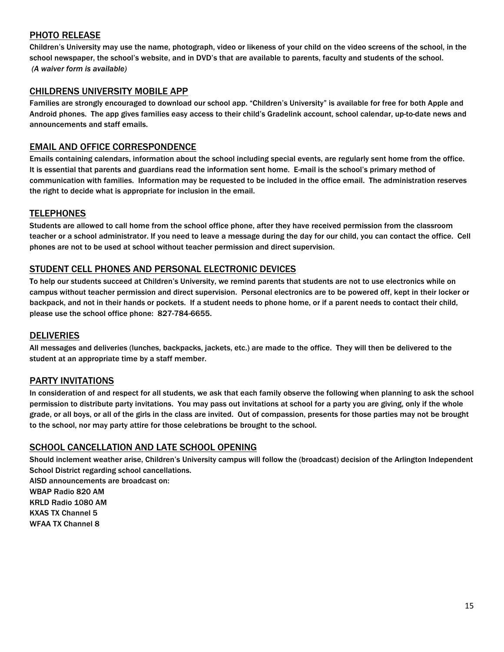# PHOTO RELEASE

Children's University may use the name, photograph, video or likeness of your child on the video screens of the school, in the school newspaper, the school's website, and in DVD's that are available to parents, faculty and students of the school. *(A waiver form is available)*

# CHILDRENS UNIVERSITY MOBILE APP

Families are strongly encouraged to download our school app. "Children's University" is available for free for both Apple and Android phones. The app gives families easy access to their child's Gradelink account, school calendar, up-to-date news and announcements and staff emails.

# EMAIL AND OFFICE CORRESPONDENCE

Emails containing calendars, information about the school including special events, are regularly sent home from the office. It is essential that parents and guardians read the information sent home. E-mail is the school's primary method of communication with families. Information may be requested to be included in the office email. The administration reserves the right to decide what is appropriate for inclusion in the email.

# **TELEPHONES**

Students are allowed to call home from the school office phone, after they have received permission from the classroom teacher or a school administrator. If you need to leave a message during the day for our child, you can contact the office. Cell phones are not to be used at school without teacher permission and direct supervision.

# STUDENT CELL PHONES AND PERSONAL ELECTRONIC DEVICES

To help our students succeed at Children's University, we remind parents that students are not to use electronics while on campus without teacher permission and direct supervision. Personal electronics are to be powered off, kept in their locker or backpack, and not in their hands or pockets. If a student needs to phone home, or if a parent needs to contact their child, please use the school office phone: 827-784-6655.

#### DELIVERIES

All messages and deliveries (lunches, backpacks, jackets, etc.) are made to the office. They will then be delivered to the student at an appropriate time by a staff member.

#### PARTY INVITATIONS

In consideration of and respect for all students, we ask that each family observe the following when planning to ask the school permission to distribute party invitations. You may pass out invitations at school for a party you are giving, only if the whole grade, or all boys, or all of the girls in the class are invited. Out of compassion, presents for those parties may not be brought to the school, nor may party attire for those celebrations be brought to the school.

# SCHOOL CANCELLATION AND LATE SCHOOL OPENING

Should inclement weather arise, Children's University campus will follow the (broadcast) decision of the Arlington Independent School District regarding school cancellations. AISD announcements are broadcast on: WBAP Radio 820 AM KRLD Radio 1080 AM KXAS TX Channel 5 WFAA TX Channel 8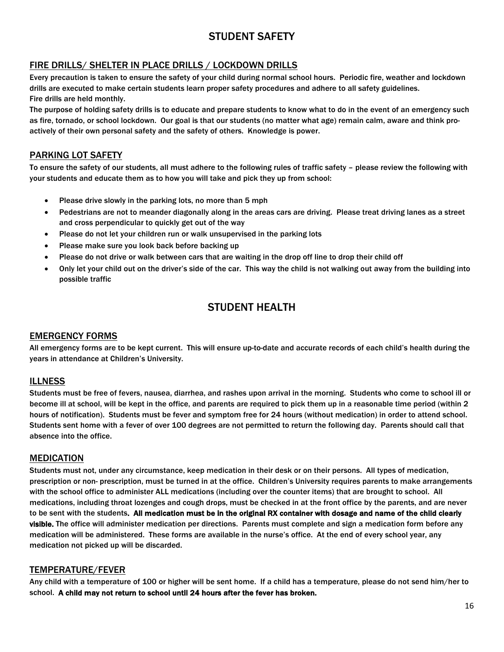# STUDENT SAFETY

# FIRE DRILLS/ SHELTER IN PLACE DRILLS / LOCKDOWN DRILLS

Every precaution is taken to ensure the safety of your child during normal school hours. Periodic fire, weather and lockdown drills are executed to make certain students learn proper safety procedures and adhere to all safety guidelines. Fire drills are held monthly.

The purpose of holding safety drills is to educate and prepare students to know what to do in the event of an emergency such as fire, tornado, or school lockdown. Our goal is that our students (no matter what age) remain calm, aware and think proactively of their own personal safety and the safety of others. Knowledge is power.

# PARKING LOT SAFETY

To ensure the safety of our students, all must adhere to the following rules of traffic safety – please review the following with your students and educate them as to how you will take and pick they up from school:

- Please drive slowly in the parking lots, no more than 5 mph
- Pedestrians are not to meander diagonally along in the areas cars are driving. Please treat driving lanes as a street and cross perpendicular to quickly get out of the way
- Please do not let your children run or walk unsupervised in the parking lots
- Please make sure you look back before backing up
- Please do not drive or walk between cars that are waiting in the drop off line to drop their child off
- Only let your child out on the driver's side of the car. This way the child is not walking out away from the building into possible traffic

# STUDENT HEALTH

# EMERGENCY FORMS

All emergency forms are to be kept current. This will ensure up-to-date and accurate records of each child's health during the years in attendance at Children's University.

# **ILLNESS**

Students must be free of fevers, nausea, diarrhea, and rashes upon arrival in the morning. Students who come to school ill or become ill at school, will be kept in the office, and parents are required to pick them up in a reasonable time period (within 2 hours of notification). Students must be fever and symptom free for 24 hours (without medication) in order to attend school. Students sent home with a fever of over 100 degrees are not permitted to return the following day. Parents should call that absence into the office.

# MEDICATION

Students must not, under any circumstance, keep medication in their desk or on their persons. All types of medication, prescription or non- prescription, must be turned in at the office. Children's University requires parents to make arrangements with the school office to administer ALL medications (including over the counter items) that are brought to school. All medications, including throat lozenges and cough drops, must be checked in at the front office by the parents, and are never to be sent with the students. All medication must be in the original RX container with dosage and name of the child clearly visible. The office will administer medication per directions. Parents must complete and sign a medication form before any medication will be administered. These forms are available in the nurse's office. At the end of every school year, any medication not picked up will be discarded.

# TEMPERATURE/FEVER

Any child with a temperature of 100 or higher will be sent home. If a child has a temperature, please do not send him/her to school. A child may not return to school until 24 hours after the fever has broken.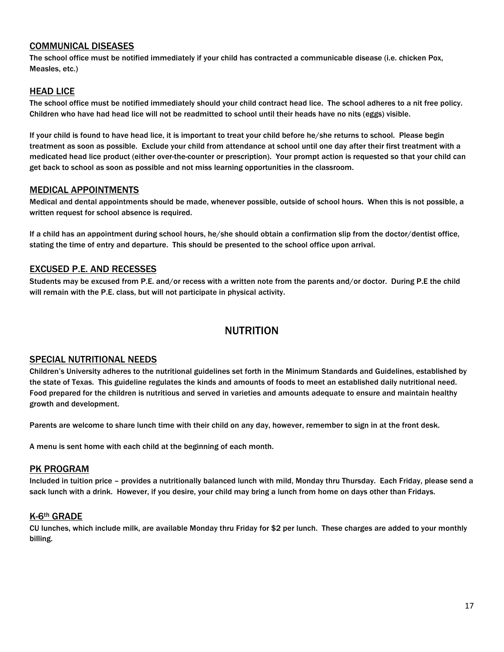## COMMUNICAL DISEASES

The school office must be notified immediately if your child has contracted a communicable disease (i.e. chicken Pox, Measles, etc.)

#### HEAD LICE

The school office must be notified immediately should your child contract head lice. The school adheres to a nit free policy. Children who have had head lice will not be readmitted to school until their heads have no nits (eggs) visible.

If your child is found to have head lice, it is important to treat your child before he/she returns to school. Please begin treatment as soon as possible. Exclude your child from attendance at school until one day after their first treatment with a medicated head lice product (either over-the-counter or prescription). Your prompt action is requested so that your child can get back to school as soon as possible and not miss learning opportunities in the classroom.

## MEDICAL APPOINTMENTS

Medical and dental appointments should be made, whenever possible, outside of school hours. When this is not possible, a written request for school absence is required.

If a child has an appointment during school hours, he/she should obtain a confirmation slip from the doctor/dentist office, stating the time of entry and departure. This should be presented to the school office upon arrival.

#### EXCUSED P.E. AND RECESSES

Students may be excused from P.E. and/or recess with a written note from the parents and/or doctor. During P.E the child will remain with the P.E. class, but will not participate in physical activity.

# NUTRITION

#### SPECIAL NUTRITIONAL NEEDS

Children's University adheres to the nutritional guidelines set forth in the Minimum Standards and Guidelines, established by the state of Texas. This guideline regulates the kinds and amounts of foods to meet an established daily nutritional need. Food prepared for the children is nutritious and served in varieties and amounts adequate to ensure and maintain healthy growth and development.

Parents are welcome to share lunch time with their child on any day, however, remember to sign in at the front desk.

A menu is sent home with each child at the beginning of each month.

#### PK PROGRAM

Included in tuition price – provides a nutritionally balanced lunch with mild, Monday thru Thursday. Each Friday, please send a sack lunch with a drink. However, if you desire, your child may bring a lunch from home on days other than Fridays.

#### K-6th GRADE

CU lunches, which include milk, are available Monday thru Friday for \$2 per lunch. These charges are added to your monthly billing.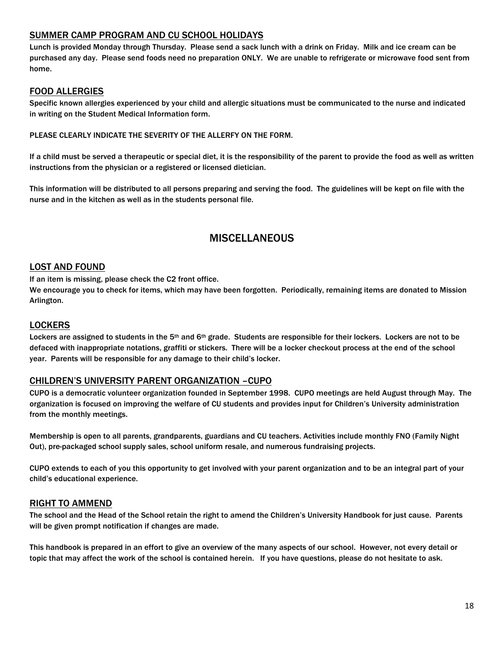## SUMMER CAMP PROGRAM AND CU SCHOOL HOLIDAYS

Lunch is provided Monday through Thursday. Please send a sack lunch with a drink on Friday. Milk and ice cream can be purchased any day. Please send foods need no preparation ONLY. We are unable to refrigerate or microwave food sent from home.

# FOOD ALLERGIES

Specific known allergies experienced by your child and allergic situations must be communicated to the nurse and indicated in writing on the Student Medical Information form.

#### PLEASE CLEARLY INDICATE THE SEVERITY OF THE ALLERFY ON THE FORM.

If a child must be served a therapeutic or special diet, it is the responsibility of the parent to provide the food as well as written instructions from the physician or a registered or licensed dietician.

This information will be distributed to all persons preparing and serving the food. The guidelines will be kept on file with the nurse and in the kitchen as well as in the students personal file.

# **MISCELLANEOUS**

#### LOST AND FOUND

If an item is missing, please check the C2 front office.

We encourage you to check for items, which may have been forgotten. Periodically, remaining items are donated to Mission Arlington.

#### **LOCKERS**

Lockers are assigned to students in the 5<sup>th</sup> and 6<sup>th</sup> grade. Students are responsible for their lockers. Lockers are not to be defaced with inappropriate notations, graffiti or stickers. There will be a locker checkout process at the end of the school year. Parents will be responsible for any damage to their child's locker.

#### CHILDREN'S UNIVERSITY PARENT ORGANIZATION –CUPO

CUPO is a democratic volunteer organization founded in September 1998. CUPO meetings are held August through May. The organization is focused on improving the welfare of CU students and provides input for Children's University administration from the monthly meetings.

Membership is open to all parents, grandparents, guardians and CU teachers. Activities include monthly FNO (Family Night Out), pre-packaged school supply sales, school uniform resale, and numerous fundraising projects.

CUPO extends to each of you this opportunity to get involved with your parent organization and to be an integral part of your child's educational experience.

#### RIGHT TO AMMEND

The school and the Head of the School retain the right to amend the Children's University Handbook for just cause. Parents will be given prompt notification if changes are made.

This handbook is prepared in an effort to give an overview of the many aspects of our school. However, not every detail or topic that may affect the work of the school is contained herein. If you have questions, please do not hesitate to ask.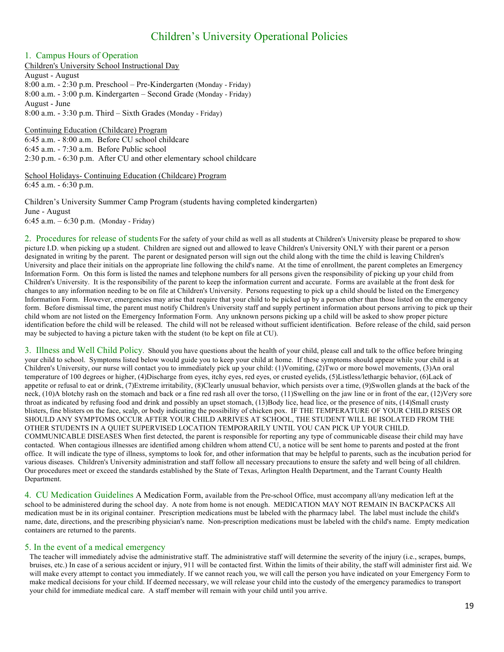# Children's University Operational Policies

#### 1. Campus Hours of Operation

Children's University School Instructional Day August - August 8:00 a.m. - 2:30 p.m. Preschool – Pre-Kindergarten (Monday - Friday) 8:00 a.m. - 3:00 p.m. Kindergarten – Second Grade (Monday - Friday) August - June 8:00 a.m. - 3:30 p.m. Third – Sixth Grades (Monday - Friday)

Continuing Education (Childcare) Program 6:45 a.m. - 8:00 a.m. Before CU school childcare 6:45 a.m. - 7:30 a.m. Before Public school 2:30 p.m. - 6:30 p.m. After CU and other elementary school childcare

School Holidays- Continuing Education (Childcare) Program 6:45 a.m. - 6:30 p.m.

Children's University Summer Camp Program (students having completed kindergarten) June - August 6:45 a.m. – 6:30 p.m. (Monday - Friday)

2. Procedures for release of students For the safety of your child as well as all students at Children's University please be prepared to show picture I.D. when picking up a student. Children are signed out and allowed to leave Children's University ONLY with their parent or a person designated in writing by the parent. The parent or designated person will sign out the child along with the time the child is leaving Children's University and place their initials on the appropriate line following the child's name. At the time of enrollment, the parent completes an Emergency Information Form. On this form is listed the names and telephone numbers for all persons given the responsibility of picking up your child from Children's University. It is the responsibility of the parent to keep the information current and accurate. Forms are available at the front desk for changes to any information needing to be on file at Children's University. Persons requesting to pick up a child should be listed on the Emergency Information Form. However, emergencies may arise that require that your child to be picked up by a person other than those listed on the emergency form. Before dismissal time, the parent must notify Children's University staff and supply pertinent information about persons arriving to pick up their child whom are not listed on the Emergency Information Form. Any unknown persons picking up a child will be asked to show proper picture identification before the child will be released. The child will not be released without sufficient identification. Before release of the child, said person may be subjected to having a picture taken with the student (to be kept on file at CU).

3. Illness and Well Child Policy. Should you have questions about the health of your child, please call and talk to the office before bringing your child to school. Symptoms listed below would guide you to keep your child at home. If these symptoms should appear while your child is at Children's University, our nurse will contact you to immediately pick up your child: (1)Vomiting, (2)Two or more bowel movements, (3)An oral temperature of 100 degrees or higher, (4)Discharge from eyes, itchy eyes, red eyes, or crusted eyelids, (5)Listless/lethargic behavior, (6)Lack of appetite or refusal to eat or drink, (7)Extreme irritability, (8)Clearly unusual behavior, which persists over a time, (9)Swollen glands at the back of the neck, (10)A blotchy rash on the stomach and back or a fine red rash all over the torso, (11)Swelling on the jaw line or in front of the ear, (12)Very sore throat as indicated by refusing food and drink and possibly an upset stomach, (13)Body lice, head lice, or the presence of nits, (14)Small crusty blisters, fine blisters on the face, scalp, or body indicating the possibility of chicken pox. IF THE TEMPERATURE OF YOUR CHILD RISES OR SHOULD ANY SYMPTOMS OCCUR AFTER YOUR CHILD ARRIVES AT SCHOOL, THE STUDENT WILL BE ISOLATED FROM THE OTHER STUDENTS IN A QUIET SUPERVISED LOCATION TEMPORARILY UNTIL YOU CAN PICK UP YOUR CHILD. COMMUNICABLE DISEASES When first detected, the parent is responsible for reporting any type of communicable disease their child may have contacted. When contagious illnesses are identified among children whom attend CU, a notice will be sent home to parents and posted at the front office. It will indicate the type of illness, symptoms to look for, and other information that may be helpful to parents, such as the incubation period for various diseases. Children's University administration and staff follow all necessary precautions to ensure the safety and well being of all children. Our procedures meet or exceed the standards established by the State of Texas, Arlington Health Department, and the Tarrant County Health Department.

4. CU Medication Guidelines A Medication Form, available from the Pre-school Office, must accompany all/any medication left at the school to be administered during the school day. A note from home is not enough. MEDICATION MAY NOT REMAIN IN BACKPACKS All medication must be in its original container. Prescription medications must be labeled with the pharmacy label. The label must include the child's name, date, directions, and the prescribing physician's name. Non-prescription medications must be labeled with the child's name. Empty medication containers are returned to the parents.

#### 5. In the event of a medical emergency

The teacher will immediately advise the administrative staff. The administrative staff will determine the severity of the injury (i.e., scrapes, bumps, bruises, etc.) In case of a serious accident or injury, 911 will be contacted first. Within the limits of their ability, the staff will administer first aid. We will make every attempt to contact you immediately. If we cannot reach you, we will call the person you have indicated on your Emergency Form to make medical decisions for your child. If deemed necessary, we will release your child into the custody of the emergency paramedics to transport your child for immediate medical care. A staff member will remain with your child until you arrive.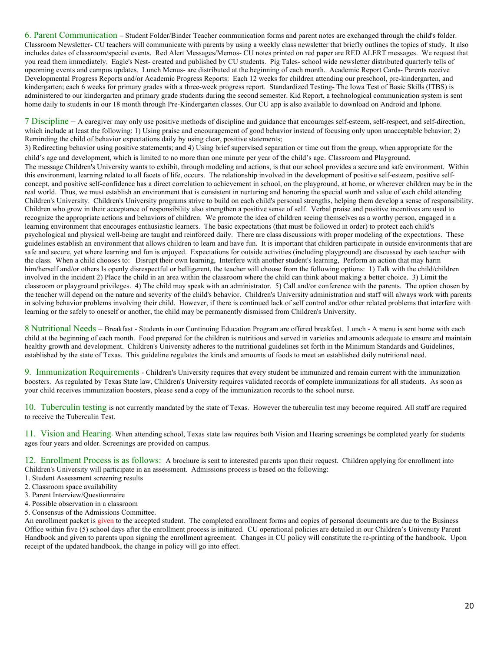6. Parent Communication – Student Folder/Binder Teacher communication forms and parent notes are exchanged through the child's folder. Classroom Newsletter- CU teachers will communicate with parents by using a weekly class newsletter that briefly outlines the topics of study. It also includes dates of classroom/special events. Red Alert Messages/Memos- CU notes printed on red paper are RED ALERT messages. We request that you read them immediately. Eagle's Nest- created and published by CU students. Pig Tales- school wide newsletter distributed quarterly tells of upcoming events and campus updates. Lunch Menus- are distributed at the beginning of each month. Academic Report Cards- Parents receive Developmental Progress Reports and/or Academic Progress Reports: Each 12 weeks for children attending our preschool, pre-kindergarten, and kindergarten; each 6 weeks for primary grades with a three-week progress report. Standardized Testing- The Iowa Test of Basic Skills (ITBS) is administered to our kindergarten and primary grade students during the second semester. Kid Report, a technological communication system is sent home daily to students in our 18 month through Pre-Kindergarten classes. Our CU app is also available to download on Android and Iphone.

7 Discipline – A caregiver may only use positive methods of discipline and guidance that encourages self-esteem, self-respect, and self-direction, which include at least the following: 1) Using praise and encouragement of good behavior instead of focusing only upon unacceptable behavior; 2) Reminding the child of behavior expectations daily by using clear, positive statements;

3) Redirecting behavior using positive statements; and 4) Using brief supervised separation or time out from the group, when appropriate for the child's age and development, which is limited to no more than one minute per year of the child's age. Classroom and Playground. The message Children's University wants to exhibit, through modeling and actions, is that our school provides a secure and safe environment. Within this environment, learning related to all facets of life, occurs. The relationship involved in the development of positive self-esteem, positive selfconcept, and positive self-confidence has a direct correlation to achievement in school, on the playground, at home, or wherever children may be in the real world. Thus, we must establish an environment that is consistent in nurturing and honoring the special worth and value of each child attending Children's University. Children's University programs strive to build on each child's personal strengths, helping them develop a sense of responsibility. Children who grow in their acceptance of responsibility also strengthen a positive sense of self. Verbal praise and positive incentives are used to recognize the appropriate actions and behaviors of children. We promote the idea of children seeing themselves as a worthy person, engaged in a learning environment that encourages enthusiastic learners. The basic expectations (that must be followed in order) to protect each child's psychological and physical well-being are taught and reinforced daily. There are class discussions with proper modeling of the expectations. These guidelines establish an environment that allows children to learn and have fun. It is important that children participate in outside environments that are safe and secure, yet where learning and fun is enjoyed. Expectations for outside activities (including playground) are discussed by each teacher with the class. When a child chooses to: Disrupt their own learning, Interfere with another student's learning, Perform an action that may harm him/herself and/or others Is openly disrespectful or belligerent, the teacher will choose from the following options: 1) Talk with the child/children involved in the incident 2) Place the child in an area within the classroom where the child can think about making a better choice. 3) Limit the classroom or playground privileges. 4) The child may speak with an administrator. 5) Call and/or conference with the parents. The option chosen by the teacher will depend on the nature and severity of the child's behavior. Children's University administration and staff will always work with parents in solving behavior problems involving their child. However, if there is continued lack of self control and/or other related problems that interfere with learning or the safely to oneself or another, the child may be permanently dismissed from Children's University.

8 Nutritional Needs – Breakfast - Students in our Continuing Education Program are offered breakfast. Lunch - A menu is sent home with each child at the beginning of each month. Food prepared for the children is nutritious and served in varieties and amounts adequate to ensure and maintain healthy growth and development. Children's University adheres to the nutritional guidelines set forth in the Minimum Standards and Guidelines, established by the state of Texas. This guideline regulates the kinds and amounts of foods to meet an established daily nutritional need.

9. Immunization Requirements - Children's University requires that every student be immunized and remain current with the immunization boosters. As regulated by Texas State law, Children's University requires validated records of complete immunizations for all students. As soon as your child receives immunization boosters, please send a copy of the immunization records to the school nurse.

10. Tuberculin testing is not currently mandated by the state of Texas. However the tuberculin test may become required. All staff are required to receive the Tuberculin Test.

11. Vision and Hearing- When attending school, Texas state law requires both Vision and Hearing screenings be completed yearly for students ages four years and older. Screenings are provided on campus.

12. Enrollment Process is as follows: A brochure is sent to interested parents upon their request. Children applying for enrollment into Children's University will participate in an assessment. Admissions process is based on the following:

- 1. Student Assessment screening results
- 2. Classroom space availability
- 3. Parent Interview/Questionnaire
- 4. Possible observation in a classroom
- 5. Consensus of the Admissions Committee.

An enrollment packet is given to the accepted student. The completed enrollment forms and copies of personal documents are due to the Business Office within five (5) school days after the enrollment process is initiated. CU operational policies are detailed in our Children's University Parent Handbook and given to parents upon signing the enrollment agreement. Changes in CU policy will constitute the re-printing of the handbook. Upon receipt of the updated handbook, the change in policy will go into effect.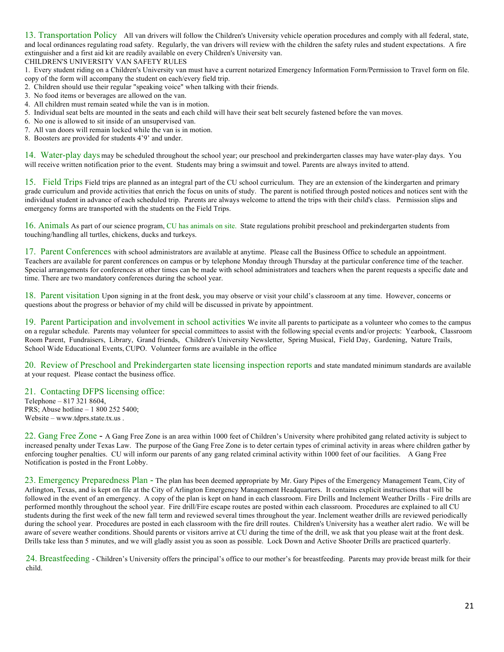13. Transportation Policy All van drivers will follow the Children's University vehicle operation procedures and comply with all federal, state, and local ordinances regulating road safety. Regularly, the van drivers will review with the children the safety rules and student expectations. A fire extinguisher and a first aid kit are readily available on every Children's University van.

CHILDREN'S UNIVERSITY VAN SAFETY RULES

1. Every student riding on a Children's University van must have a current notarized Emergency Information Form/Permission to Travel form on file. copy of the form will accompany the student on each/every field trip.

- 2. Children should use their regular "speaking voice" when talking with their friends.
- 3. No food items or beverages are allowed on the van.
- 4. All children must remain seated while the van is in motion.
- 5. Individual seat belts are mounted in the seats and each child will have their seat belt securely fastened before the van moves.
- 6. No one is allowed to sit inside of an unsupervised van.
- 7. All van doors will remain locked while the van is in motion.
- 8. Boosters are provided for students 4'9' and under.

14. Water-play days may be scheduled throughout the school year; our preschool and prekindergarten classes may have water-play days. You will receive written notification prior to the event. Students may bring a swimsuit and towel. Parents are always invited to attend.

15. Field Trips Field trips are planned as an integral part of the CU school curriculum. They are an extension of the kindergarten and primary grade curriculum and provide activities that enrich the focus on units of study. The parent is notified through posted notices and notices sent with the individual student in advance of each scheduled trip. Parents are always welcome to attend the trips with their child's class. Permission slips and emergency forms are transported with the students on the Field Trips.

16. Animals As part of our science program, CU has animals on site. State regulations prohibit preschool and prekindergarten students from touching/handling all turtles, chickens, ducks and turkeys.

17. Parent Conferences with school administrators are available at anytime. Please call the Business Office to schedule an appointment. Teachers are available for parent conferences on campus or by telephone Monday through Thursday at the particular conference time of the teacher. Special arrangements for conferences at other times can be made with school administrators and teachers when the parent requests a specific date and time. There are two mandatory conferences during the school year.

18. Parent visitation Upon signing in at the front desk, you may observe or visit your child's classroom at any time. However, concerns or questions about the progress or behavior of my child will be discussed in private by appointment.

19. Parent Participation and involvement in school activities We invite all parents to participate as a volunteer who comes to the campus on a regular schedule. Parents may volunteer for special committees to assist with the following special events and/or projects: Yearbook, Classroom Room Parent, Fundraisers, Library, Grand friends, Children's University Newsletter, Spring Musical, Field Day, Gardening, Nature Trails, School Wide Educational Events, CUPO. Volunteer forms are available in the office

20. Review of Preschool and Prekindergarten state licensing inspection reports and state mandated minimum standards are available at your request. Please contact the business office.

#### 21. Contacting DFPS licensing office:

Telephone – 817 321 8604, PRS; Abuse hotline – 1 800 252 5400; Website – www.tdprs.state.tx.us .

22. Gang Free Zone - A Gang Free Zone is an area within 1000 feet of Children's University where prohibited gang related activity is subject to increased penalty under Texas Law. The purpose of the Gang Free Zone is to deter certain types of criminal activity in areas where children gather by enforcing tougher penalties. CU will inform our parents of any gang related criminal activity within 1000 feet of our facilities. A Gang Free Notification is posted in the Front Lobby.

23. Emergency Preparedness Plan - The plan has been deemed appropriate by Mr. Gary Pipes of the Emergency Management Team, City of Arlington, Texas, and is kept on file at the City of Arlington Emergency Management Headquarters. It contains explicit instructions that will be followed in the event of an emergency. A copy of the plan is kept on hand in each classroom. Fire Drills and Inclement Weather Drills - Fire drills are performed monthly throughout the school year. Fire drill/Fire escape routes are posted within each classroom. Procedures are explained to all CU students during the first week of the new fall term and reviewed several times throughout the year. Inclement weather drills are reviewed periodically during the school year. Procedures are posted in each classroom with the fire drill routes. Children's University has a weather alert radio. We will be aware of severe weather conditions. Should parents or visitors arrive at CU during the time of the drill, we ask that you please wait at the front desk. Drills take less than 5 minutes, and we will gladly assist you as soon as possible. Lock Down and Active Shooter Drills are practiced quarterly.

24. Breastfeeding - Children's University offers the principal's office to our mother's for breastfeeding. Parents may provide breast milk for their child.